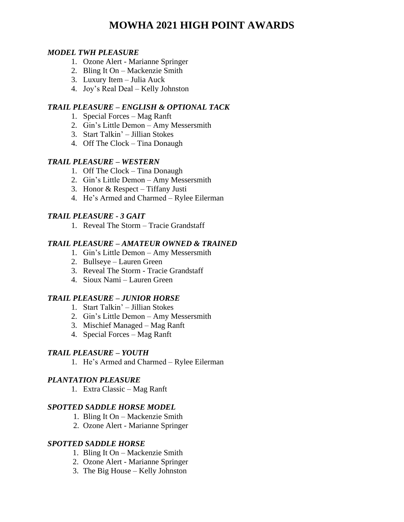# **MOWHA 2021 HIGH POINT AWARDS**

### *MODEL TWH PLEASURE*

- 1. Ozone Alert Marianne Springer
- 2. Bling It On Mackenzie Smith
- 3. Luxury Item Julia Auck
- 4. Joy's Real Deal Kelly Johnston

### *TRAIL PLEASURE – ENGLISH & OPTIONAL TACK*

- 1. Special Forces Mag Ranft
- 2. Gin's Little Demon Amy Messersmith
- 3. Start Talkin' Jillian Stokes
- 4. Off The Clock Tina Donaugh

#### *TRAIL PLEASURE – WESTERN*

- 1. Off The Clock Tina Donaugh
- 2. Gin's Little Demon Amy Messersmith
- 3. Honor & Respect Tiffany Justi
- 4. He's Armed and Charmed Rylee Eilerman

### *TRAIL PLEASURE - 3 GAIT*

1. Reveal The Storm – Tracie Grandstaff

#### *TRAIL PLEASURE – AMATEUR OWNED & TRAINED*

- 1. Gin's Little Demon Amy Messersmith
- 2. Bullseye Lauren Green
- 3. Reveal The Storm Tracie Grandstaff
- 4. Sioux Nami Lauren Green

### *TRAIL PLEASURE – JUNIOR HORSE*

- 1. Start Talkin' Jillian Stokes
- 2. Gin's Little Demon Amy Messersmith
- 3. Mischief Managed Mag Ranft
- 4. Special Forces Mag Ranft

#### *TRAIL PLEASURE – YOUTH*

1. He's Armed and Charmed – Rylee Eilerman

#### *PLANTATION PLEASURE*

1. Extra Classic – Mag Ranft

#### *SPOTTED SADDLE HORSE MODEL*

- 1. Bling It On Mackenzie Smith
- 2. Ozone Alert Marianne Springer

### *SPOTTED SADDLE HORSE*

- 1. Bling It On Mackenzie Smith
- 2. Ozone Alert Marianne Springer
- 3. The Big House Kelly Johnston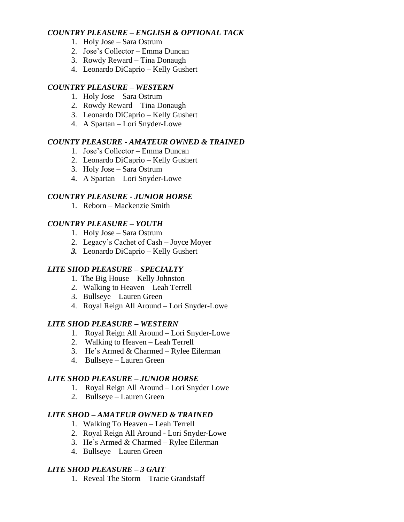### *COUNTRY PLEASURE – ENGLISH & OPTIONAL TACK*

- 1. Holy Jose Sara Ostrum
- 2. Jose's Collector Emma Duncan
- 3. Rowdy Reward Tina Donaugh
- 4. Leonardo DiCaprio Kelly Gushert

### *COUNTRY PLEASURE – WESTERN*

- 1. Holy Jose Sara Ostrum
- 2. Rowdy Reward Tina Donaugh
- 3. Leonardo DiCaprio Kelly Gushert
- 4. A Spartan Lori Snyder-Lowe

### *COUNTY PLEASURE - AMATEUR OWNED & TRAINED*

- 1. Jose's Collector Emma Duncan
- 2. Leonardo DiCaprio Kelly Gushert
- 3. Holy Jose Sara Ostrum
- 4. A Spartan Lori Snyder-Lowe

### *COUNTRY PLEASURE - JUNIOR HORSE*

1. Reborn – Mackenzie Smith

### *COUNTRY PLEASURE – YOUTH*

- 1. Holy Jose Sara Ostrum
- 2. Legacy's Cachet of Cash Joyce Moyer
- *3.* Leonardo DiCaprio Kelly Gushert

# *LITE SHOD PLEASURE – SPECIALTY*

- 1. The Big House Kelly Johnston
- 2. Walking to Heaven Leah Terrell
- 3. Bullseye Lauren Green
- 4. Royal Reign All Around Lori Snyder-Lowe

### *LITE SHOD PLEASURE – WESTERN*

- 1. Royal Reign All Around Lori Snyder-Lowe
- 2. Walking to Heaven Leah Terrell
- 3. He's Armed & Charmed Rylee Eilerman
- 4. Bullseye Lauren Green

# *LITE SHOD PLEASURE – JUNIOR HORSE*

- 1. Royal Reign All Around Lori Snyder Lowe
- 2. Bullseye Lauren Green

# *LITE SHOD – AMATEUR OWNED & TRAINED*

- 1. Walking To Heaven Leah Terrell
- 2. Royal Reign All Around Lori Snyder-Lowe
- 3. He's Armed & Charmed Rylee Eilerman
- 4. Bullseye Lauren Green

# *LITE SHOD PLEASURE – 3 GAIT*

1. Reveal The Storm – Tracie Grandstaff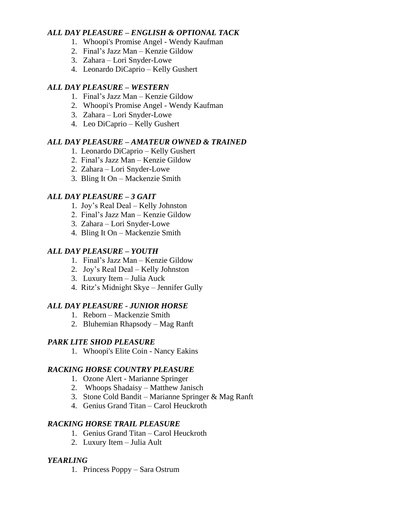### *ALL DAY PLEASURE – ENGLISH & OPTIONAL TACK*

- 1. Whoopi's Promise Angel Wendy Kaufman
- 2. Final's Jazz Man Kenzie Gildow
- 3. Zahara Lori Snyder-Lowe
- 4. Leonardo DiCaprio Kelly Gushert

## *ALL DAY PLEASURE – WESTERN*

- 1. Final's Jazz Man Kenzie Gildow
- 2. Whoopi's Promise Angel Wendy Kaufman
- 3. Zahara Lori Snyder-Lowe
- 4. Leo DiCaprio Kelly Gushert

### *ALL DAY PLEASURE – AMATEUR OWNED & TRAINED*

- 1. Leonardo DiCaprio Kelly Gushert
- 2. Final's Jazz Man Kenzie Gildow
- 2. Zahara Lori Snyder-Lowe
- 3. Bling It On Mackenzie Smith

### *ALL DAY PLEASURE – 3 GAIT*

- 1. Joy's Real Deal Kelly Johnston
- 2. Final's Jazz Man Kenzie Gildow
- 3. Zahara Lori Snyder-Lowe
- 4. Bling It On Mackenzie Smith

### *ALL DAY PLEASURE – YOUTH*

- 1. Final's Jazz Man Kenzie Gildow
- 2. Joy's Real Deal Kelly Johnston
- 3. Luxury Item Julia Auck
- 4. Ritz's Midnight Skye Jennifer Gully

# *ALL DAY PLEASURE - JUNIOR HORSE*

- 1. Reborn Mackenzie Smith
- 2. Bluhemian Rhapsody Mag Ranft

# *PARK LITE SHOD PLEASURE*

1. Whoopi's Elite Coin - Nancy Eakins

# *RACKING HORSE COUNTRY PLEASURE*

- 1. Ozone Alert Marianne Springer
- 2. Whoops Shadaisy Matthew Janisch
- 3. Stone Cold Bandit Marianne Springer & Mag Ranft
- 4. Genius Grand Titan Carol Heuckroth

# *RACKING HORSE TRAIL PLEASURE*

- 1. Genius Grand Titan Carol Heuckroth
- 2. Luxury Item Julia Ault

# *YEARLING*

1. Princess Poppy – Sara Ostrum